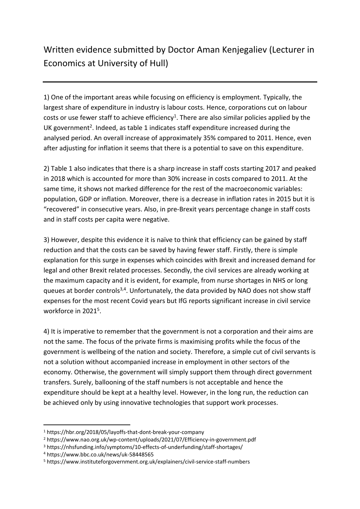## Written evidence submitted by Doctor Aman Kenjegaliev (Lecturer in Economics at University of Hull)

1) One of the important areas while focusing on efficiency is employment. Typically, the largest share of expenditure in industry is labour costs. Hence, corporations cut on labour costs or use fewer staff to achieve efficiency<sup>1</sup>. There are also similar policies applied by the UK government<sup>2</sup>. Indeed, as table 1 indicates staff expenditure increased during the analysed period. An overall increase of approximately 35% compared to 2011. Hence, even after adjusting for inflation it seems that there is a potential to save on this expenditure.

2) Table 1 also indicates that there is a sharp increase in staff costs starting 2017 and peaked in 2018 which is accounted for more than 30% increase in costs compared to 2011. At the same time, it shows not marked difference for the rest of the macroeconomic variables: population, GDP or inflation. Moreover, there is a decrease in inflation rates in 2015 but it is "recovered" in consecutive years. Also, in pre-Brexit years percentage change in staff costs and in staff costs per capita were negative.

3) However, despite this evidence it is naïve to think that efficiency can be gained by staff reduction and that the costs can be saved by having fewer staff. Firstly, there is simple explanation for this surge in expenses which coincides with Brexit and increased demand for legal and other Brexit related processes. Secondly, the civil services are already working at the maximum capacity and it is evident, for example, from nurse shortages in NHS or long queues at border controls<sup>3,4</sup>. Unfortunately, the data provided by NAO does not show staff expenses for the most recent Covid years but IfG reports significant increase in civil service workforce in 2021<sup>5</sup>.

4) It is imperative to remember that the government is not a corporation and their aims are not the same. The focus of the private firms is maximising profits while the focus of the government is wellbeing of the nation and society. Therefore, a simple cut of civil servants is not a solution without accompanied increase in employment in other sectors of the economy. Otherwise, the government will simply support them through direct government transfers. Surely, ballooning of the staff numbers is not acceptable and hence the expenditure should be kept at a healthy level. However, in the long run, the reduction can be achieved only by using innovative technologies that support work processes.

<sup>1</sup> https://hbr.org/2018/05/layoffs-that-dont-break-your-company

<sup>2</sup> https://www.nao.org.uk/wp-content/uploads/2021/07/Efficiency-in-government.pdf

<sup>3</sup> https://nhsfunding.info/symptoms/10-effects-of-underfunding/staff-shortages/

<sup>4</sup> https://www.bbc.co.uk/news/uk-58448565

<sup>5</sup> https://www.instituteforgovernment.org.uk/explainers/civil-service-staff-numbers